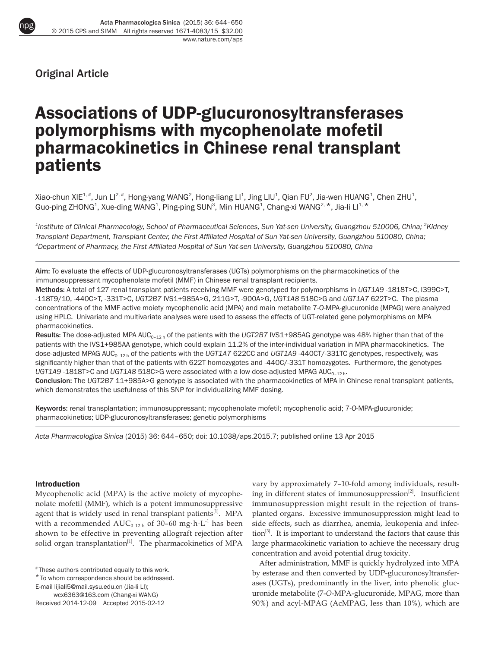

Original Article

# Associations of UDP-glucuronosyltransferases polymorphisms with mycophenolate mofetil pharmacokinetics in Chinese renal transplant patients

Xiao-chun XIE $^{1,\#}$ , Jun Ll $^{2,\#}$ , Hong-yang WANG $^2$ , Hong-liang Ll $^1$ , Jing LIU $^1$ , Qian FU $^2$ , Jia-wen HUANG $^1$ , Chen ZHU $^1$ , Guo-ping ZHONG $^1$ , Xue-ding WANG $^1$ , Ping-ping SUN $^3$ , Min HUANG $^1$ , Chang-xi WANG $^{2,\,\,\star}$ , Jia-li Ll $^{1,\,\,\star}$ 

 $^{\text{1}}$ Institute of Clinical Pharmacology, School of Pharmaceutical Sciences, Sun Yat-sen University, Guangzhou 510006, China; <sup>2</sup>Kidney *Transplant Department, Transplant Center, the First Affiliated Hospital of Sun Yat-sen University, Guangzhou 510080, China; 3 Department of Pharmacy, the First Affiliated Hospital of Sun Yat-sen University, Guangzhou 510080, China*

Aim: To evaluate the effects of UDP-glucuronosyltransferases (UGTs) polymorphisms on the pharmacokinetics of the immunosuppressant mycophenolate mofetil (MMF) in Chinese renal transplant recipients.

Methods: A total of 127 renal transplant patients receiving MMF were genotyped for polymorphisms in *UGT1A9* -1818T>C, I399C>T, -118T9/10, -440C>T, -331T>C, *UGT2B7* IVS1+985A>G, 211G>T, -900A>G, *UGT1A8* 518C>G and *UGT1A7* 622T>C. The plasma concentrations of the MMF active moiety mycophenolic acid (MPA) and main metabolite 7-*O*-MPA-glucuronide (MPAG) were analyzed using HPLC. Univariate and multivariate analyses were used to assess the effects of UGT-related gene polymorphisms on MPA pharmacokinetics.

Results: The dose-adjusted MPA AUC<sub>0-12 h</sub> of the patients with the UGT2B7 IVS1+985AG genotype was 48% higher than that of the patients with the IVS1+985AA genotype, which could explain 11.2% of the inter-individual variation in MPA pharmacokinetics. The dose-adjusted MPAG AUC0–12 h of the patients with the *UGT1A7* 622CC and *UGT1A9* -440CT/-331TC genotypes, respectively, was significantly higher than that of the patients with 622T homozygotes and -440C/-331T homozygotes. Furthermore, the genotypes UGT1A9-1818T>C and UGT1A8 518C>G were associated with a low dose-adjusted MPAG AUC<sub>0-12 h</sub>.

Conclusion: The *UGT2B7* 11+985A>G genotype is associated with the pharmacokinetics of MPA in Chinese renal transplant patients, which demonstrates the usefulness of this SNP for individualizing MMF dosing.

Keywords: renal transplantation; immunosuppressant; mycophenolate mofetil; mycophenolic acid; 7-*O*-MPA-glucuronide; pharmacokinetics; UDP-glucuronosyltransferases; genetic polymorphisms

*Acta Pharmacologica Sinica* (2015) 36: 644–650; doi: 10.1038/aps.2015.7; published online 13 Apr 2015

#### Introduction

Mycophenolic acid (MPA) is the active moiety of mycophenolate mofetil (MMF), which is a potent immunosuppressive agent that is widely used in renal transplant patients<sup>[1]</sup>. MPA with a recommended  $AUC_{0-12h}$  of 30–60 mg·h·L<sup>-1</sup> has been shown to be effective in preventing allograft rejection after solid organ transplantation<sup>[1]</sup>. The pharmacokinetics of MPA

\* To whom correspondence should be addressed.

E-mail lijiali5@mail.sysu.edu.cn (Jia-li LI);

wcx6363@163.com (Chang-xi WANG)

vary by approximately 7–10-fold among individuals, resulting in different states of immunosuppression $^{[2]}$ . Insufficient immunosuppression might result in the rejection of transplanted organs. Excessive immunosuppression might lead to side effects, such as diarrhea, anemia, leukopenia and infection<sup>[3]</sup>. It is important to understand the factors that cause this large pharmacokinetic variation to achieve the necessary drug concentration and avoid potential drug toxicity.

After administration, MMF is quickly hydrolyzed into MPA by esterase and then converted by UDP-glucuronosyltransferases (UGTs), predominantly in the liver, into phenolic glucuronide metabolite (7-*O*-MPA-glucuronide, MPAG, more than 90%) and acyl-MPAG (AcMPAG, less than 10%), which are

<sup>#</sup> These authors contributed equally to this work.

Received 2014-12-09 Accepted 2015-02-12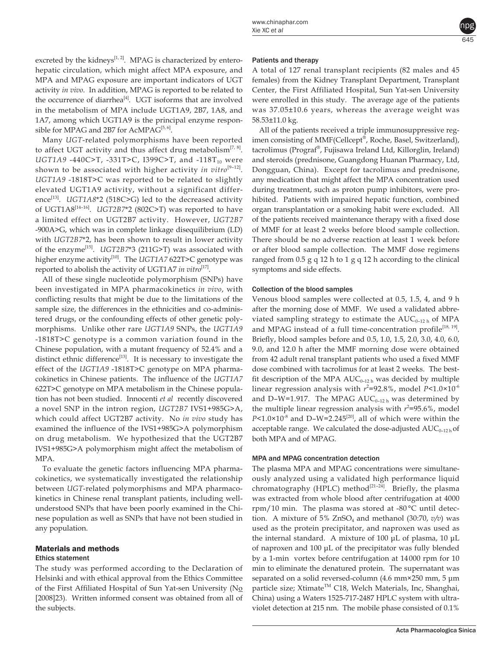excreted by the kidneys<sup>[1, 2]</sup>. MPAG is characterized by enterohepatic circulation, which might affect MPA exposure, and MPA and MPAG exposure are important indicators of UGT activity *in vivo*. In addition, MPAG is reported to be related to the occurrence of diarrhea<sup>[4]</sup>. UGT isoforms that are involved in the metabolism of MPA include UGT1A9, 2B7, 1A8, and 1A7, among which UGT1A9 is the principal enzyme responsible for MPAG and 2B7 for AcMPAG<sup>[5, 6]</sup>.

Many *UGT*-related polymorphisms have been reported to affect UGT activity and thus affect drug metabolism<sup>[7, 8]</sup>. *UGT1A9* -440C>T, -331T>C, I399C>T, and -118T<sub>10</sub> were shown to be associated with higher activity *in vitro*<sup>[9-12]</sup>. *UGT1A9* -1818T>C was reported to be related to slightly elevated UGT1A9 activity, without a significant difference<sup>[13]</sup>. *UGT1A8\*2* (518C>G) led to the decreased activity of UGT1A8[14–16]. *UGT2B7*\*2 (802C>T) was reported to have a limited effect on UGT2B7 activity. However, *UGT2B7*  -900A>G, which was in complete linkage disequilibrium (LD) with *UGT2B7*\*2, has been shown to result in lower activity of the enzyme<sup>[15]</sup>. *UGT2B7\*3* (211G>T) was associated with higher enzyme activity<sup>[10]</sup>. The *UGT1A7* 622T>C genotype was reported to abolish the activity of UGT1A7 *in vitro*<sup>[17]</sup>.

All of these single nucleotide polymorphism (SNPs) have been investigated in MPA pharmacokinetics *in vivo*, with conflicting results that might be due to the limitations of the sample size, the differences in the ethnicities and co-administered drugs, or the confounding effects of other genetic polymorphisms. Unlike other rare *UGT1A9* SNPs, the *UGT1A9* -1818T>C genotype is a common variation found in the Chinese population, with a mutant frequency of 52.4% and a distinct ethnic difference $^{[13]}$ . It is necessary to investigate the effect of the *UGT1A9* -1818T>C genotype on MPA pharmacokinetics in Chinese patients. The influence of the *UGT1A7* 622T>C genotype on MPA metabolism in the Chinese population has not been studied. Innocenti *et al* recently discovered a novel SNP in the intron region, *UGT2B7* IVS1+985G>A, which could affect UGT2B7 activity. No *in vivo* study has examined the influence of the IVS1+985G>A polymorphism on drug metabolism. We hypothesized that the UGT2B7 IVS1+985G>A polymorphism might affect the metabolism of MPA.

To evaluate the genetic factors influencing MPA pharmacokinetics, we systematically investigated the relationship between *UGT*-related polymorphisms and MPA pharmacokinetics in Chinese renal transplant patients, including wellunderstood SNPs that have been poorly examined in the Chinese population as well as SNPs that have not been studied in any population.

## Materials and methods

## Ethics statement

The study was performed according to the Declaration of Helsinki and with ethical approval from the Ethics Committee of the First Affiliated Hospital of Sun Yat-sen University (No [2008]23). Written informed consent was obtained from all of the subjects.

## Patients and therapy

A total of 127 renal transplant recipients (82 males and 45 females) from the Kidney Transplant Department, Transplant Center, the First Affiliated Hospital, Sun Yat-sen University were enrolled in this study. The average age of the patients was 37.05±10.6 years, whereas the average weight was 58.53±11.0 kg.

All of the patients received a triple immunosuppressive regimen consisting of MMF(Cellcept®, Roche, Basel, Switzerland), tacrolimus (Prograf®, Fujisawa Ireland Ltd, Killorglin, Ireland) and steroids (prednisone, Guangdong Huanan Pharmacy, Ltd, Dongguan, China). Except for tacrolimus and prednisone, any medication that might affect the MPA concentration used during treatment, such as proton pump inhibitors, were prohibited. Patients with impaired hepatic function, combined organ transplantation or a smoking habit were excluded. All of the patients received maintenance therapy with a fixed dose of MMF for at least 2 weeks before blood sample collection. There should be no adverse reaction at least 1 week before or after blood sample collection. The MMF dose regimens ranged from 0.5 g q 12 h to 1 g q 12 h according to the clinical symptoms and side effects.

### Collection of the blood samples

Venous blood samples were collected at 0.5, 1.5, 4, and 9 h after the morning dose of MMF. We used a validated abbreviated sampling strategy to estimate the  $AUC_{0-12 h}$  of MPA and MPAG instead of a full time-concentration profile<sup>[18, 19]</sup>. Briefly, blood samples before and 0.5, 1.0, 1.5, 2.0, 3.0, 4.0, 6.0, 9.0, and 12.0 h after the MMF morning dose were obtained from 42 adult renal transplant patients who used a fixed MMF dose combined with tacrolimus for at least 2 weeks. The bestfit description of the MPA  $AUC_{0-12 h}$  was decided by multiple linear regression analysis with  $r^2$ =92.8%, model P<1.0×10<sup>-6</sup> and D-W=1.917. The MPAG  $AUC_{0-12 h}$  was determined by the multiple linear regression analysis with  $r^2 = 95.6$ %, model  $P$ <1.0×10<sup>-8</sup> and D–W=2.245<sup>[20]</sup>, all of which were within the acceptable range. We calculated the dose-adjusted  $AUC_{0-12h}$  of both MPA and of MPAG.

## MPA and MPAG concentration detection

The plasma MPA and MPAG concentrations were simultaneously analyzed using a validated high performance liquid chromatography (HPLC) method<sup>[21-24]</sup>. Briefly, the plasma was extracted from whole blood after centrifugation at 4000 rpm/10 min. The plasma was stored at -80 °C until detection. A mixture of  $5\%$  ZnSO<sub>4</sub> and methanol (30:70,  $v/v$ ) was used as the protein precipitator, and naproxen was used as the internal standard. A mixture of 100 μL of plasma, 10 μL of naproxen and 100 μL of the precipitator was fully blended by a 1-min vortex before centrifugation at 14 000 rpm for 10 min to eliminate the denatured protein. The supernatant was separated on a solid reversed-column (4.6 mm×250 mm, 5 μm particle size; Xtimate™ C18, Welch Materials, Inc, Shanghai, China) using a Waters 1525-717-2487 HPLC system with ultraviolet detection at 215 nm. The mobile phase consisted of 0.1%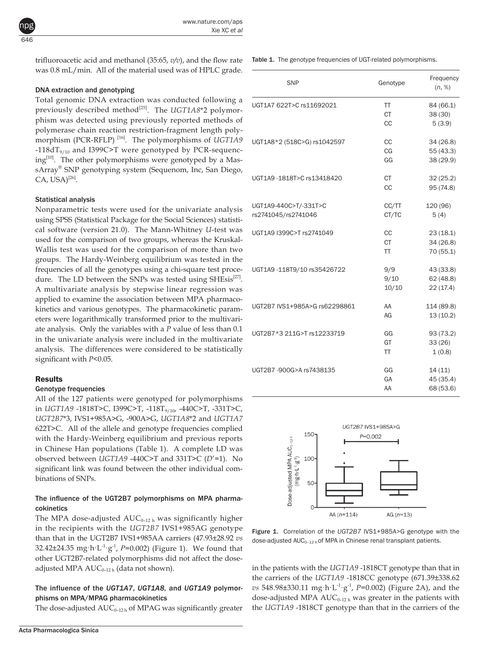trifluoroacetic acid and methanol (35:65, *v/v*), and the flow rate was 0.8 mL/min. All of the material used was of HPLC grade.

#### DNA extraction and genotyping

Total genomic DNA extraction was conducted following a previously described method<sup>[25]</sup>. The *UGT1A8*\*2 polymorphism was detected using previously reported methods of polymerase chain reaction restriction-fragment length polymorphism (PCR-RFLP)<sup>[16]</sup>. The polymorphisms of *UGT1A9*  $-118dT_{9/10}$  and I399C>T were genotyped by PCR-sequencing<sup>[10]</sup>. The other polymorphisms were genotyped by a MassArray® SNP genotyping system (Sequenom, Inc, San Diego,  $CA$ , USA)<sup>[26]</sup>.

#### Statistical analysis

Nonparametric tests were used for the univariate analysis using SPSS (Statistical Package for the Social Sciences) statistical software (version 21.0). The Mann-Whitney *U*-test was used for the comparison of two groups, whereas the Kruskal-Wallis test was used for the comparison of more than two groups. The Hardy-Weinberg equilibrium was tested in the frequencies of all the genotypes using a chi-square test procedure. The LD between the SNPs was tested using SHEsis<sup>[27]</sup>. A multivariate analysis by stepwise linear regression was applied to examine the association between MPA pharmacokinetics and various genotypes. The pharmacokinetic parameters were logarithmically transformed prior to the multivariate analysis. Only the variables with a *P* value of less than 0.1 in the univariate analysis were included in the multivariate analysis. The differences were considered to be statistically significant with *P*<0.05.

#### **Results**

#### Genotype frequencies

All of the 127 patients were genotyped for polymorphisms in *UGT1A9* -1818T>C, I399C>T, -118T<sub>9/10</sub>, -440C>T, -331T>C, *UGT2B7*\*3, IVS1+985A>G, -900A>G, *UGT1A8*\*2 and *UGT1A7* 622T>C. All of the allele and genotype frequencies complied with the Hardy-Weinberg equilibrium and previous reports in Chinese Han populations (Table 1). A complete LD was observed between *UGT1A9* -440C>T and 331T>C (*D*'=1). No significant link was found between the other individual combinations of SNPs.

#### The influence of the UGT2B7 polymorphisms on MPA pharmacokinetics

The MPA dose-adjusted  $AUC_{0-12 h}$  was significantly higher in the recipients with the *UGT2B7* IVS1+985AG genotype than that in the UGT2B7 IVS1+985AA carriers (47.93±28.92 *vs*  32.42±24.35 mg·h·L-1·g-1, *P*=0.002) (Figure 1). We found that other UGT2B7-related polymorphisms did not affect the doseadjusted MPA  $AUC_{0-12 h}$  (data not shown).

#### The influence of the *UGT1A7*, *UGT1A8,* and *UGT1A9* polymorphisms on MPA/MPAG pharmacokinetics

The dose-adjusted  $AUC_{0-12h}$  of MPAG was significantly greater

Table 1. The genotype frequencies of UGT-related polymorphisms.

| <b>SNP</b>                    | Genotype  | Frequency<br>(n, %) |  |
|-------------------------------|-----------|---------------------|--|
| UGT1A7 622T>C rs11692021      | TT        | 84 (66.1)           |  |
|                               | <b>CT</b> | 38 (30)             |  |
|                               | CC        | 5(3.9)              |  |
| UGT1A8*2 (518C>G) rs1042597   | <b>CC</b> | 34 (26.8)           |  |
|                               | CG        | 55 (43.3)           |  |
|                               | GG        | 38 (29.9)           |  |
| UGT1A9 -1818T>C rs13418420    | <b>CT</b> | 32(25.2)            |  |
|                               | CC        | 95 (74.8)           |  |
| UGT1A9-440C>T/-331T>C         | CC/TT     | 120 (96)            |  |
| rs2741045/rs2741046           | CT/TC     | 5(4)                |  |
| UGT1A9 I399C>T rs2741049      | CC        | 23 (18.1)           |  |
|                               | <b>CT</b> | 34 (26.8)           |  |
|                               | <b>TT</b> | 70 (55.1)           |  |
| UGT1A9 -118T9/10 rs35426722   | 9/9       | 43 (33.8)           |  |
|                               | 9/10      | 62 (48.8)           |  |
|                               | 10/10     | 22 (17.4)           |  |
| UGT2B7 IVS1+985A>G rs62298861 | AA        | 114 (89.8)          |  |
|                               | AG        | 13(10.2)            |  |
| UGT2B7*3 211G>T rs12233719    | GG        | 93 (73.2)           |  |
|                               | GT        | 33(26)              |  |
|                               | <b>TT</b> | 1(0.8)              |  |
| UGT2B7 -900G>A rs7438135      | GG        | 14(11)              |  |
|                               | GA        | 45 (35.4)           |  |
|                               | AA        | 68 (53.6)           |  |



Figure 1. Correlation of the *UGT2B7* IVS1+985A>G genotype with the dose-adjusted AUC<sub>0-12 h</sub> of MPA in Chinese renal transplant patients.

in the patients with the *UGT1A9* -1818CT genotype than that in the carriers of the *UGT1A9* -1818CC genotype (671.39±338.62 *vs* 548.98±330.11 mg·h·L<sup>-1</sup>·g<sup>-1</sup>, *P*=0.002) (Figure 2A), and the dose-adjusted MPA  $AUC_{0-12 h}$  was greater in the patients with the *UGT1A9* -1818CT genotype than that in the carriers of the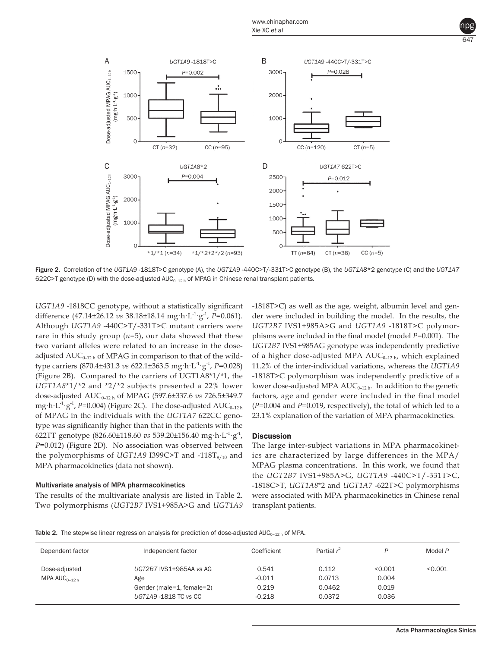



Figure 2. Correlation of the *UGT1A9* -1818T>C genotype (A), the *UGT1A9* -440C>T/-331T>C genotype (B), the *UGT1A8*\*2 genotype (C) and the *UGT1A7* 622C>T genotype (D) with the dose-adjusted  $AUC_{0-12 h}$  of MPAG in Chinese renal transplant patients.

*UGT1A9* -1818CC genotype, without a statistically significant difference (47.14±26.12 *vs* 38.18±18.14 mg·h·L-1·g-1, *P*=0.061). Although *UGT1A9* -440C>T/-331T>C mutant carriers were rare in this study group  $(n=5)$ , our data showed that these two variant alleles were related to an increase in the doseadjusted  $AUC_{0-12h}$  of MPAG in comparison to that of the wildtype carriers (870.4±431.3 *vs* 622.1±363.5 mg·h·L-1·g-1, *P*=0.028) (Figure 2B). Compared to the carriers of UGT1A8\*1/\*1, the *UGT1A8*\*1/\*2 and \*2/\*2 subjects presented a 22% lower dose-adjusted AUC0–12 h of MPAG (597.6±337.6 *vs* 726.5±349.7 mg·h·L<sup>-1</sup>·g<sup>-1</sup>, *P*=0.004) (Figure 2C). The dose-adjusted  $\text{AUC}_{0-12 \, \text{h}}$ of MPAG in the individuals with the *UGT1A7* 622CC genotype was significantly higher than that in the patients with the 622TT genotype (826.60±118.60 *vs* 539.20±156.40 mg·h·L-1·g-1, *P*=0.012) (Figure 2D). No association was observed between the polymorphisms of *UGT1A9* I399C>T and  $-118T_{9/10}$  and MPA pharmacokinetics (data not shown).

#### Multivariate analysis of MPA pharmacokinetics

The results of the multivariate analysis are listed in Table 2. Two polymorphisms (*UGT2B7* IVS1+985A>G and *UGT1A9*  -1818T>C) as well as the age, weight, albumin level and gender were included in building the model. In the results, the *UGT2B7* IVS1+985A>G and *UGT1A9* -1818T>C polymorphisms were included in the final model (model *P*=0.001). The *UGT2B7* IVS1+985AG genotype was independently predictive of a higher dose-adjusted MPA  $AUC_{0-12}$  <sub>h</sub>, which explained 11.2% of the inter-individual variations, whereas the *UGT1A9* -1818T>C polymorphism was independently predictive of a lower dose-adjusted MPA  $AUC_{0-12h}$ . In addition to the genetic factors, age and gender were included in the final model (*P*=0.004 and *P*=0.019, respectively), the total of which led to a 23.1% explanation of the variation of MPA pharmacokinetics.

#### **Discussion**

The large inter-subject variations in MPA pharmacokinetics are characterized by large differences in the MPA/ MPAG plasma concentrations. In this work, we found that the *UGT2B7* IVS1+985A>G, *UGT1A9* -440C>T/-331T>C, -1818C>T, *UGT1A8*\*2 and *UGT1A7* -622T>C polymorphisms were associated with MPA pharmacokinetics in Chinese renal transplant patients.

Table 2. The stepwise linear regression analysis for prediction of dose-adjusted AUC<sub>0-12 h</sub> of MPA.

| Dependent factor                   | Independent factor             | Coefficient       | Partial $r^2$   | □                | Model P |
|------------------------------------|--------------------------------|-------------------|-----------------|------------------|---------|
| Dose-adjusted<br>MPA $AUC_{0-12h}$ | UGT2B7 IVS1+985AA vs AG<br>Age | 0.541<br>$-0.011$ | 0.112<br>0.0713 | < 0.001<br>0.004 | < 0.001 |
|                                    | Gender (male=1, female=2)      | 0.219             | 0.0462          | 0.019            |         |
|                                    | UGT1A9 -1818 TC vs CC          | $-0.218$          | 0.0372          | 0.036            |         |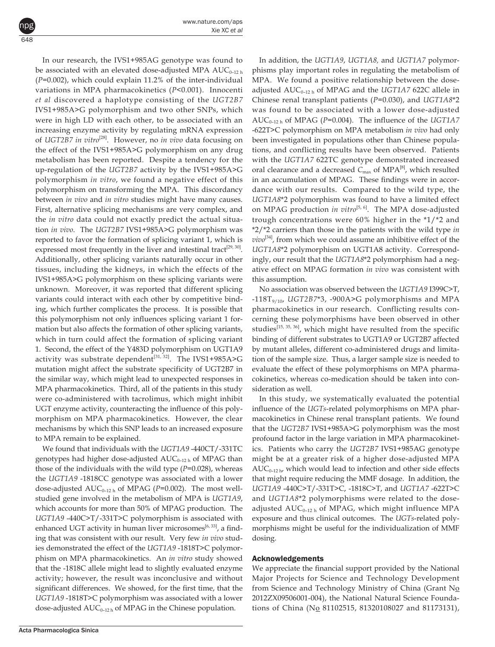648 npg

> In our research, the IVS1+985AG genotype was found to be associated with an elevated dose-adjusted MPA  $AUC_{0-12 h}$ (*P*=0.002), which could explain 11.2% of the inter-individual variations in MPA pharmacokinetics (*P*<0.001). Innocenti *et al* discovered a haplotype consisting of the *UGT2B7* IVS1+985A>G polymorphism and two other SNPs, which were in high LD with each other, to be associated with an increasing enzyme activity by regulating mRNA expression of *UGT2B7 in vitro*[28]. However, no *in vivo* data focusing on the effect of the IVS1+985A>G polymorphism on any drug metabolism has been reported. Despite a tendency for the up-regulation of the *UGT2B7* activity by the IVS1+985A>G polymorphism *in vitro*, we found a negative effect of this polymorphism on transforming the MPA. This discordancy between *in vivo* and *in vitro* studies might have many causes. First, alternative splicing mechanisms are very complex, and the *in vitro* data could not exactly predict the actual situation *in vivo*. The *UGT2B7* IVS1+985A>G polymorphism was reported to favor the formation of splicing variant 1, which is expressed most frequently in the liver and intestinal tract<sup>[29, 30]</sup>. Additionally, other splicing variants naturally occur in other tissues, including the kidneys, in which the effects of the IVS1+985A>G polymorphism on these splicing variants were unknown. Moreover, it was reported that different splicing variants could interact with each other by competitive binding, which further complicates the process. It is possible that this polymorphism not only influences splicing variant 1 formation but also affects the formation of other splicing variants, which in turn could affect the formation of splicing variant 1. Second, the effect of the Y483D polymorphism on UGT1A9 activity was substrate dependent<sup>[31, 32]</sup>. The IVS1+985A>G mutation might affect the substrate specificity of UGT2B7 in the similar way, which might lead to unexpected responses in MPA pharmacokinetics. Third, all of the patients in this study were co-administered with tacrolimus, which might inhibit UGT enzyme activity, counteracting the influence of this polymorphism on MPA pharmacokinetics. However, the clear mechanisms by which this SNP leads to an increased exposure to MPA remain to be explained.

> We found that individuals with the *UGT1A9* -440CT/-331TC genotypes had higher dose-adjusted  $AUC_{0-12h}$  of MPAG than those of the individuals with the wild type (*P*=0.028), whereas the *UGT1A9* -1818CC genotype was associated with a lower dose-adjusted  $AUC_{0-12 h}$  of MPAG ( $P=0.002$ ). The most wellstudied gene involved in the metabolism of MPA is *UGT1A9*, which accounts for more than 50% of MPAG production. The *UGT1A9* -440C>T/-331T>C polymorphism is associated with enhanced UGT activity in human liver microsomes<sup>[6, 33]</sup>, a finding that was consistent with our result. Very few *in vivo* studies demonstrated the effect of the *UGT1A9* -1818T>C polymorphism on MPA pharmacokinetics. An *in vitro* study showed that the -1818C allele might lead to slightly evaluated enzyme activity; however, the result was inconclusive and without significant differences. We showed, for the first time, that the *UGT1A9* -1818T>C polymorphism was associated with a lower dose-adjusted  $AUC_{0-12h}$  of MPAG in the Chinese population.

In addition, the *UGT1A9*, *UGT1A8,* and *UGT1A7* polymorphisms play important roles in regulating the metabolism of MPA. We found a positive relationship between the doseadjusted  $AUC_{0-12h}$  of MPAG and the *UGT1A7* 622C allele in Chinese renal transplant patients (*P*=0.030), and *UGT1A8*\*2 was found to be associated with a lower dose-adjusted AUC<sub>0-12 h</sub> of MPAG (*P*=0.004). The influence of the *UGT1A7* -622T>C polymorphism on MPA metabolism *in vivo* had only been investigated in populations other than Chinese populations, and conflicting results have been observed. Patients with the *UGT1A7* 622TC genotype demonstrated increased oral clearance and a decreased  $C_{\text{max}}$  of MPA<sup>[8]</sup>, which resulted in an accumulation of MPAG. These findings were in accordance with our results. Compared to the wild type, the *UGT1A8*\*2 polymorphism was found to have a limited effect on MPAG production *in vitro*[5, 6]. The MPA dose-adjusted trough concentrations were 60% higher in the \*1/\*2 and \*2/\*2 carriers than those in the patients with the wild type *in vivo*[34], from which we could assume an inhibitive effect of the *UGT1A8*\*2 polymorphism on UGT1A8 activity. Correspondingly, our result that the *UGT1A8*\*2 polymorphism had a negative effect on MPAG formation *in vivo* was consistent with this assumption.

No association was observed between the *UGT1A9* I399C>T,  $-118T_{9/10}$ , *UGT2B7*\*3,  $-900A>G$  polymorphisms and MPA pharmacokinetics in our research. Conflicting results concerning these polymorphisms have been observed in other studies[15, 35, 36], which might have resulted from the specific binding of different substrates to UGT1A9 or UGT2B7 affected by mutant alleles, different co-administered drugs and limitation of the sample size. Thus, a larger sample size is needed to evaluate the effect of these polymorphisms on MPA pharmacokinetics, whereas co-medication should be taken into consideration as well.

In this study, we systematically evaluated the potential influence of the *UGTs*-related polymorphisms on MPA pharmacokinetics in Chinese renal transplant patients. We found that the *UGT2B7* IVS1+985A>G polymorphism was the most profound factor in the large variation in MPA pharmacokinetics. Patients who carry the *UGT2B7* IVS1+985AG genotype might be at a greater risk of a higher dose-adjusted MPA  $AUC_{0-12 h}$ , which would lead to infection and other side effects that might require reducing the MMF dosage. In addition, the *UGT1A9* -440C>T/-331T>C, -1818C>T, and *UGT1A7* -622T>C and *UGT1A8*\*2 polymorphisms were related to the doseadjusted  $AUC_{0-12 h}$  of MPAG, which might influence MPA exposure and thus clinical outcomes. The *UGTs*-related polymorphisms might be useful for the individualization of MMF dosing.

#### Acknowledgements

We appreciate the financial support provided by the National Major Projects for Science and Technology Development from Science and Technology Ministry of China (Grant No 2012ZX09506001-004), the National Natural Science Foundations of China (No 81102515, 81320108027 and 81173131),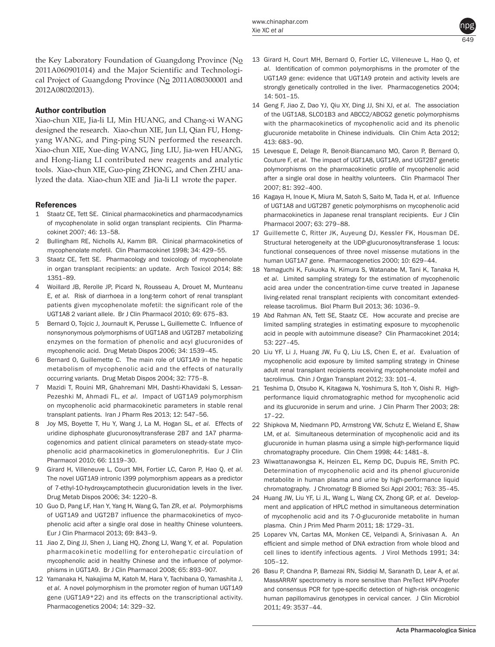

the Key Laboratory Foundation of Guangdong Province (No 2011A060901014) and the Major Scientific and Technological Project of Guangdong Province (No 2011A080300001 and 2012A080202013).

#### Author contribution

Xiao-chun XIE, Jia-li LI, Min HUANG, and Chang-xi WANG designed the research. Xiao-chun XIE, Jun LI, Qian FU, Hongyang WANG, and Ping-ping SUN performed the research. Xiao-chun XIE, Xue-ding WANG, Jing LIU, Jia-wen HUANG, and Hong-liang LI contributed new reagents and analytic tools. Xiao-chun XIE, Guo-ping ZHONG, and Chen ZHU analyzed the data. Xiao-chun XIE and Jia-li LI wrote the paper.

#### References

- 1 Staatz CE, Tett SE. Clinical pharmacokinetics and pharmacodynamics of mycophenolate in solid organ transplant recipients. Clin Pharmacokinet 2007; 46: 13–58.
- 2 Bullingham RE, Nicholls AJ, Kamm BR. Clinical pharmacokinetics of mycophenolate mofetil. Clin Pharmacokinet 1998; 34: 429–55.
- 3 Staatz CE, Tett SE. Pharmacology and toxicology of mycophenolate in organ transplant recipients: an update. Arch Toxicol 2014; 88: 1351–89.
- 4 Woillard JB, Rerolle JP, Picard N, Rousseau A, Drouet M, Munteanu E, *et al*. Risk of diarrhoea in a long-term cohort of renal transplant patients given mycophenolate mofetil: the significant role of the UGT1A8 2 variant allele. Br J Clin Pharmacol 2010; 69: 675–83.
- 5 Bernard O, Tojcic J, Journault K, Perusse L, Guillemette C. Influence of nonsynonymous polymorphisms of UGT1A8 and UGT2B7 metabolizing enzymes on the formation of phenolic and acyl glucuronides of mycophenolic acid. Drug Metab Dispos 2006; 34: 1539–45.
- 6 Bernard O, Guillemette C. The main role of UGT1A9 in the hepatic metabolism of mycophenolic acid and the effects of naturally occurring variants. Drug Metab Dispos 2004; 32: 775–8.
- 7 Mazidi T, Rouini MR, Ghahremani MH, Dashti-Khavidaki S, Lessan-Pezeshki M, Ahmadi FL, et al. Impact of UGT1A9 polymorphism on mycophenolic acid pharmacokinetic parameters in stable renal transplant patients. Iran J Pharm Res 2013; 12: 547–56.
- 8 Joy MS, Boyette T, Hu Y, Wang J, La M, Hogan SL, *et al*. Effects of uridine diphosphate glucuronosyltransferase 2B7 and 1A7 pharmacogenomics and patient clinical parameters on steady-state mycophenolic acid pharmacokinetics in glomerulonephritis. Eur J Clin Pharmacol 2010; 66: 1119–30.
- 9 Girard H, Villeneuve L, Court MH, Fortier LC, Caron P, Hao Q, *et al*. The novel UGT1A9 intronic I399 polymorphism appears as a predictor of 7-ethyl-10-hydroxycamptothecin glucuronidation levels in the liver. Drug Metab Dispos 2006; 34: 1220–8.
- 10 Guo D, Pang LF, Han Y, Yang H, Wang G, Tan ZR, *et al*. Polymorphisms of UGT1A9 and UGT2B7 influence the pharmacokinetics of mycophenolic acid after a single oral dose in healthy Chinese volunteers. Eur J Clin Pharmacol 2013; 69: 843–9.
- 11 Jiao Z, Ding JJ, Shen J, Liang HQ, Zhong LJ, Wang Y, *et al*. Population pharmacokinetic modelling for enterohepatic circulation of mycophenolic acid in healthy Chinese and the influence of polymorphisms in UGT1A9. Br J Clin Pharmacol 2008; 65: 893–907.
- 12 Yamanaka H, Nakajima M, Katoh M, Hara Y, Tachibana O, Yamashita J, *et al*. A novel polymorphism in the promoter region of human UGT1A9 gene (UGT1A9\*22) and its effects on the transcriptional activity. Pharmacogenetics 2004; 14: 329–32.
- 13 Girard H, Court MH, Bernard O, Fortier LC, Villeneuve L, Hao Q, *et al*. Identification of common polymorphisms in the promoter of the UGT1A9 gene: evidence that UGT1A9 protein and activity levels are strongly genetically controlled in the liver. Pharmacogenetics 2004; 14: 501–15.
- 14 Geng F, Jiao Z, Dao YJ, Qiu XY, Ding JJ, Shi XJ, *et al*. The association of the UGT1A8, SLCO1B3 and ABCC2/ABCG2 genetic polymorphisms with the pharmacokinetics of mycophenolic acid and its phenolic glucuronide metabolite in Chinese individuals. Clin Chim Acta 2012; 413: 683–90.
- 15 Levesque E, Delage R, Benoit-Biancamano MO, Caron P, Bernard O, Couture F, *et al*. The impact of UGT1A8, UGT1A9, and UGT2B7 genetic polymorphisms on the pharmacokinetic profile of mycophenolic acid after a single oral dose in healthy volunteers. Clin Pharmacol Ther 2007; 81: 392–400.
- 16 Kagaya H, Inoue K, Miura M, Satoh S, Saito M, Tada H, *et al*. Influence of UGT1A8 and UGT2B7 genetic polymorphisms on mycophenolic acid pharmacokinetics in Japanese renal transplant recipients. Eur J Clin Pharmacol 2007; 63: 279–88.
- 17 Guillemette C, Ritter JK, Auyeung DJ, Kessler FK, Housman DE. Structural heterogeneity at the UDP-glucuronosyltransferase 1 locus: functional consequences of three novel missense mutations in the human UGT1A7 gene. Pharmacogenetics 2000; 10: 629–44.
- 18 Yamaguchi K, Fukuoka N, Kimura S, Watanabe M, Tani K, Tanaka H, *et al*. Limited sampling strategy for the estimation of mycophenolic acid area under the concentration-time curve treated in Japanese living-related renal transplant recipients with concomitant extendedrelease tacrolimus. Biol Pharm Bull 2013; 36: 1036–9.
- 19 Abd Rahman AN, Tett SE, Staatz CE. How accurate and precise are limited sampling strategies in estimating exposure to mycophenolic acid in people with autoimmune disease? Clin Pharmacokinet 2014; 53: 227–45.
- 20 Liu YF, Li J, Huang JW, Fu Q, Liu LS, Chen E, *et al*. Evaluation of mycophenolic acid exposure by limited sampling strategy in Chinese adult renal transplant recipients receiving mycophenolate mofeil and tacrolimus. Chin J Organ Transplant 2012; 33: 101–4.
- 21 Teshima D, Otsubo K, Kitagawa N, Yoshimura S, Itoh Y, Oishi R. Highperformance liquid chromatographic method for mycophenolic acid and its glucuronide in serum and urine. J Clin Pharm Ther 2003; 28: 17–22.
- 22 Shipkova M, Niedmann PD, Armstrong VW, Schutz E, Wieland E, Shaw LM, *et al*. Simultaneous determination of mycophenolic acid and its glucuronide in human plasma using a simple high-performance liquid chromatography procedure. Clin Chem 1998; 44: 1481–8.
- 23 Wiwattanawongsa K, Heinzen EL, Kemp DC, Dupuis RE, Smith PC. Determination of mycophenolic acid and its phenol glucuronide metabolite in human plasma and urine by high-performance liquid chromatography. J Chromatogr B Biomed Sci Appl 2001; 763: 35–45.
- 24 Huang JW, Liu YF, Li JL, Wang L, Wang CX, Zhong GP, *et al*. Development and application of HPLC method in simultaneous determination of mycophenolic acid and its 7-O-glucuronide metabolite in human plasma. Chin J Prim Med Pharm 2011; 18: 1729–31.
- 25 Loparev VN, Cartas MA, Monken CE, Velpandi A, Srinivasan A. An efficient and simple method of DNA extraction from whole blood and cell lines to identify infectious agents. J Virol Methods 1991; 34: 105–12.
- 26 Basu P, Chandna P, Bamezai RN, Siddiqi M, Saranath D, Lear A, *et al*. MassARRAY spectrometry is more sensitive than PreTect HPV-Proofer and consensus PCR for type-specific detection of high-risk oncogenic human papillomavirus genotypes in cervical cancer. J Clin Microbiol 2011; 49: 3537–44.